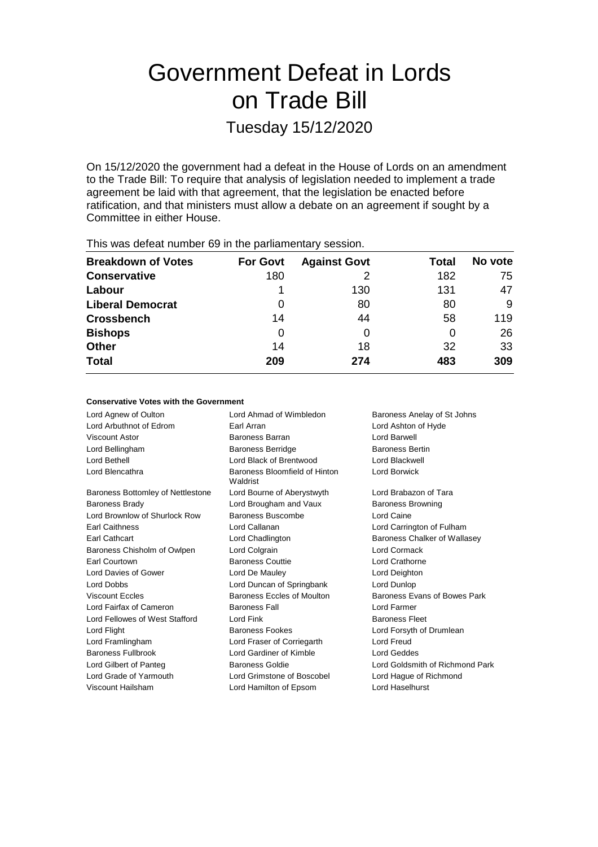# Government Defeat in Lords on Trade Bill

Tuesday 15/12/2020

On 15/12/2020 the government had a defeat in the House of Lords on an amendment to the Trade Bill: To require that analysis of legislation needed to implement a trade agreement be laid with that agreement, that the legislation be enacted before ratification, and that ministers must allow a debate on an agreement if sought by a Committee in either House.

| <b>THIS WAS ASTOCKTRATING TO IT WAS PARTICLED TO THE T</b> |                 |                     |       |         |  |  |
|------------------------------------------------------------|-----------------|---------------------|-------|---------|--|--|
| <b>Breakdown of Votes</b>                                  | <b>For Govt</b> | <b>Against Govt</b> | Total | No vote |  |  |
| <b>Conservative</b>                                        | 180             |                     | 182   | 75      |  |  |
| Labour                                                     |                 | 130                 | 131   | 47      |  |  |
| <b>Liberal Democrat</b>                                    | O               | 80                  | 80    | 9       |  |  |
| <b>Crossbench</b>                                          | 14              | 44                  | 58    | 119     |  |  |
| <b>Bishops</b>                                             | 0               |                     | 0     | 26      |  |  |
| <b>Other</b>                                               | 14              | 18                  | 32    | 33      |  |  |
| <b>Total</b>                                               | 209             | 274                 | 483   | 309     |  |  |
|                                                            |                 |                     |       |         |  |  |

This was defeat number 69 in the parliamentary session.

### **Conservative Votes with the Government**

Lord Agnew of Oulton Lord Ahmad of Wimbledon Baroness Anelay of St Johns Lord Arbuthnot of Edrom Earl Arran Lord Ashton of Hyde Viscount Astor Baroness Barran Lord Barwell Lord Bellingham **Baroness Berridge** Baroness Bertin Lord Bethell Lord Black of Brentwood Lord Blackwell Lord Blencathra **Baroness** Bloomfield of Hinton Waldrist Lord Borwick Baroness Bottomley of Nettlestone Lord Bourne of Aberystwyth Lord Brabazon of Tara Baroness Brady **Baroness Browning** Lord Brougham and Vaux **Baroness Browning** Lord Brownlow of Shurlock Row Baroness Buscombe Lord Caine Earl Caithness Lord Callanan Lord Carrington of Fulham Earl Cathcart Lord Chadlington Baroness Chalker of Wallasey Baroness Chisholm of Owlpen Lord Colgrain Lord Cormack Earl Courtown Baroness Couttie Lord Crathorne Lord Davies of Gower Lord De Mauley Lord Deighton Lord Dobbs Lord Duncan of Springbank Lord Dunlop Viscount Eccles **Baroness Eccles** Baroness Eccles of Moulton Baroness Evans of Bowes Park Lord Fairfax of Cameron Baroness Fall Lord Farmer Lord Fellowes of West Stafford Lord Fink **Baroness Fleet** Baroness Fleet Lord Flight **Baroness Fookes** Lord Forsyth of Drumlean Lord Framlingham Lord Fraser of Corriegarth Lord Freud Baroness Fullbrook Lord Gardiner of Kimble Lord Geddes Lord Gilbert of Panteg Baroness Goldie Lord Goldsmith of Richmond Park Lord Grade of Yarmouth Lord Grimstone of Boscobel Lord Hague of Richmond Viscount Hailsham Lord Hamilton of Epsom Lord Haselhurst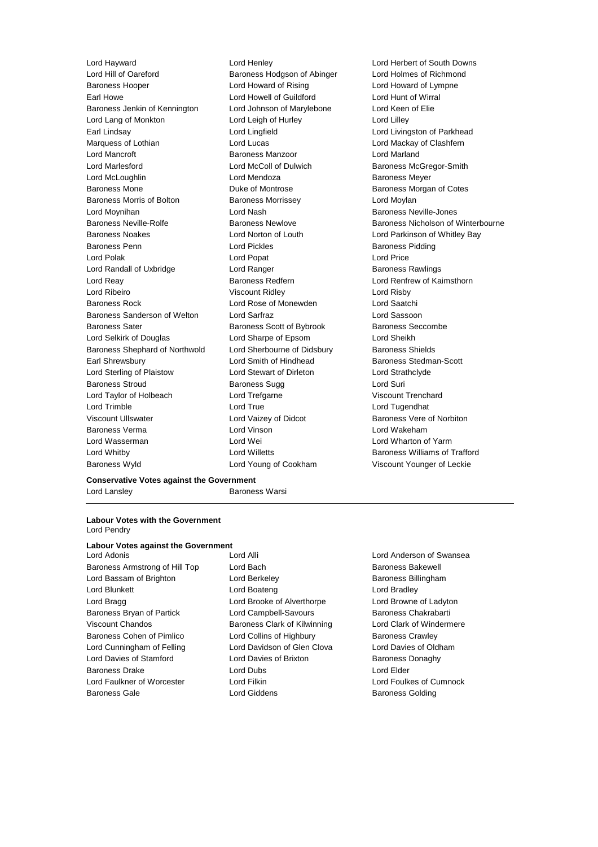Lord Hill of Oareford **Baroness Hodgson of Abinger** Lord Holmes of Richmond Baroness Hooper Lord Howard of Rising Lord Howard of Lympne Earl Howe Lord Howell of Guildford Lord Hunt of Wirral Baroness Jenkin of Kennington Lord Johnson of Marylebone Lord Keen of Elie Lord Lang of Monkton **Lord Leigh of Hurley** Lord Lord Lilley Earl Lindsay Lord Lingfield Lord Livingston of Parkhead Marquess of Lothian **Lord Lucas** Lord Lucas Lord Lord Mackay of Clashfern Lord Mancroft **Baroness Manzoor Baroness Manzoor Lord Marland** Lord Marlesford **Lord McColl of Dulwich Baroness McGregor-Smith** Baroness McGregor-Smith Lord McLoughlin Lord Mendoza Baroness Meyer Baroness Mone **Baroness Mone** Duke of Montrose **Baroness Morgan of Cotes** Baroness Morris of Bolton Baroness Morrissey **Baroness Lord Moylan** Lord Moynihan Lord Nash Baroness Neville-Jones Baroness Neville-Rolfe **Baroness Newlove** Baroness Newlove **Baroness Nicholson of Winterbourne** Baroness Noakes Lord Norton of Louth Lord Parkinson of Whitley Bay **Baroness Penn Example 2** Example 2 Lord Pickles **Baroness Pidding Baroness Pidding** Lord Polak Lord Popat Lord Price Lord Randall of Uxbridge **Lord Ranger** Lord Ranger **Baroness Rawlings** Lord Reay **Baroness Redfern Baroness Redfern Lord Renfrew of Kaimsthorn** Lord Ribeiro Viscount Ridley Lord Risby Baroness Rock Lord Rose of Monewden Lord Saatchi Baroness Sanderson of Welton Lord Sarfraz Lord Sassoon Baroness Sater **Baroness Scott of Bybrook** Baroness Seccombe Lord Selkirk of Douglas Lord Sharpe of Epsom Lord Sheikh Baroness Shephard of Northwold Lord Sherbourne of Didsbury Baroness Shields Earl Shrewsbury **Earl Strewsbury** Lord Smith of Hindhead **Baroness** Stedman-Scott Lord Sterling of Plaistow Lord Stewart of Dirleton Lord Strathclyde Baroness Stroud Baroness Sugg Lord Suri Lord Taylor of Holbeach Lord Trefgarne Viscount Trenchard Lord Trimble Lord True Lord Tugendhat Viscount Ullswater **Lord Vaizey of Didcot** Baroness Vere of Norbiton Baroness Verma Lord Vinson Lord Wakeham Lord Wasserman Lord Wei Lord Wharton of Yarm Lord Whitby Lord Willetts Baroness Williams of Trafford

Lord Hayward Lord Henley Lord Herbert of South Downs Baroness Wyld **Lord Young of Cookham** Viscount Younger of Leckie

## **Conservative Votes against the Government** Lord Lansley **Baroness Warsi**

#### **Labour Votes with the Government** Lord Pendry

**Labour Votes against the Government** Lord Adonis Lord Alli Lord Anderson of Swansea Baroness Armstrong of Hill Top Lord Bach Baroness Bakewell Lord Bassam of Brighton **Lord Berkeley Baroness Billingham** Lord Blunkett **Lord Boateng** Lord Boateng Lord Bradley Lord Bragg Lord Brooke of Alverthorpe Lord Browne of Ladyton Baroness Bryan of Partick **Lord Campbell-Savours** Baroness Chakrabarti Viscount Chandos Baroness Clark of Kilwinning Lord Clark of Windermere Baroness Cohen of Pimlico Lord Collins of Highbury Baroness Crawley Lord Cunningham of Felling Lord Davidson of Glen Clova Lord Davies of Oldham Lord Davies of Stamford Lord Davies of Brixton Baroness Donaghy Baroness Drake Lord Dubs Lord Elder Lord Faulkner of Worcester Lord Filkin Lord Foulkes of Cumnock Baroness Gale **Baroness Golding** Lord Giddens **Baroness Golding**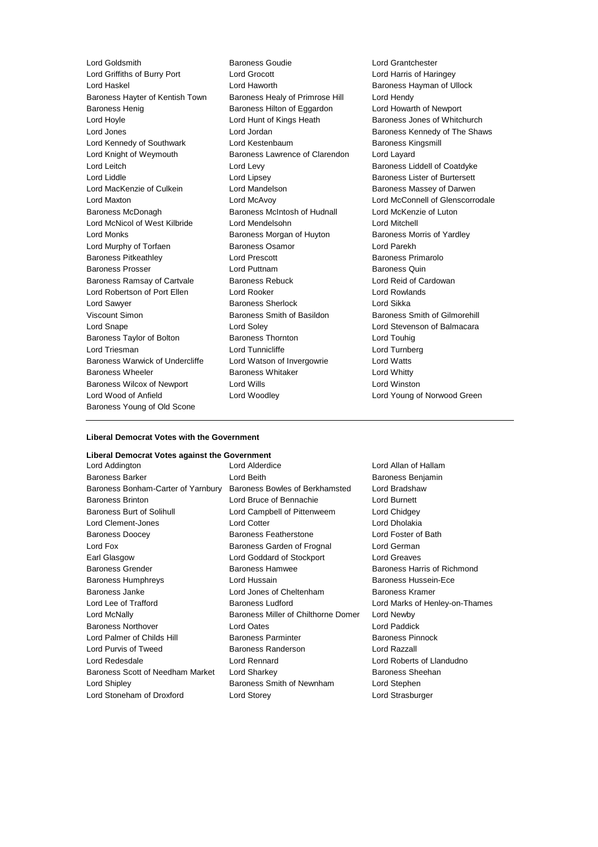Lord Griffiths of Burry Port Lord Grocott Lord Harris of Haringey Lord Haskel **Lord Haworth** Baroness Hayman of Ullock Baroness Hayter of Kentish Town Baroness Healy of Primrose Hill Lord Hendy Baroness Henig Baroness Hilton of Eggardon Lord Howarth of Newport Lord Hoyle Lord Hunt of Kings Heath Baroness Jones of Whitchurch Lord Jones **Lord Jordan Baroness Kennedy of The Shaws** Lord Jordan Baroness Kennedy of The Shaws Lord Kennedy of Southwark Lord Kestenbaum Baroness Kingsmill Lord Knight of Weymouth Baroness Lawrence of Clarendon Lord Layard Lord Leitch Lord Levy Baroness Liddell of Coatdyke Lord Liddle **Lord Lipsey** Lord Lipsey **Baroness Lister of Burtersett** Lord MacKenzie of Culkein Lord Mandelson Baroness Massey of Darwen Lord Maxton Lord McAvoy Lord McConnell of Glenscorrodale Baroness McDonagh Baroness McIntosh of Hudnall Lord McKenzie of Luton Lord McNicol of West Kilbride Lord Mendelsohn Lord Mitchell Lord Monks **Baroness Morgan of Huyton** Baroness Morris of Yardley Lord Murphy of Torfaen Baroness Osamor Lord Parekh Baroness Pitkeathley Lord Prescott Baroness Primarolo Baroness Prosser **Example 20** Lord Puttnam **Baroness Quin** Baroness Ramsay of Cartvale Baroness Rebuck Lord Reid of Cardowan Lord Robertson of Port Ellen Lord Rooker Lord Rowlands Lord Sawyer Baroness Sherlock Lord Sikka Viscount Simon Baroness Smith of Basildon Baroness Smith of Gilmorehill Lord Snape Lord Soley Lord Stevenson of Balmacara Baroness Taylor of Bolton Baroness Thornton Lord Touhig Lord Triesman **Lord Tunnicliffe** Lord Turnberg Lord Turnberg Baroness Warwick of Undercliffe Lord Watson of Invergowrie Lord Watts Baroness Wheeler **Baroness Whitaker** Lord Whitty Baroness Wilcox of Newport Lord Wills Lord Winston Lord Wood of Anfield Lord Woodley Lord Young of Norwood Green Baroness Young of Old Scone

Lord Goldsmith **Baroness Goudie** Cord Grantchester<br>
Lord Griffiths of Burry Port Lord Grocott Lord Green Lord Harris of Hari

## **Liberal Democrat Votes with the Government**

## **Liberal Democrat Votes against the Government**

| Lora Addington                     | Lora Algeraice                      | Lorg Alian of I     |
|------------------------------------|-------------------------------------|---------------------|
| <b>Baroness Barker</b>             | Lord Beith                          | <b>Baroness Ber</b> |
| Baroness Bonham-Carter of Yarnbury | Baroness Bowles of Berkhamsted      | Lord Bradsha        |
| <b>Baroness Brinton</b>            | Lord Bruce of Bennachie             | Lord Burnett        |
| <b>Baroness Burt of Solihull</b>   | Lord Campbell of Pittenweem         | Lord Chidgey        |
| Lord Clement-Jones                 | <b>Lord Cotter</b>                  | Lord Dholakia       |
| <b>Baroness Doocey</b>             | <b>Baroness Featherstone</b>        | Lord Foster of      |
| Lord Fox                           | Baroness Garden of Frognal          | Lord German         |
| Earl Glasgow                       | Lord Goddard of Stockport           | <b>Lord Greaves</b> |
| <b>Baroness Grender</b>            | <b>Baroness Hamwee</b>              | <b>Baroness Har</b> |
| <b>Baroness Humphreys</b>          | Lord Hussain                        | <b>Baroness Hus</b> |
| Baroness Janke                     | Lord Jones of Cheltenham            | <b>Baroness Kra</b> |
| Lord Lee of Trafford               | <b>Baroness Ludford</b>             | Lord Marks of       |
| Lord McNally                       | Baroness Miller of Chilthorne Domer | Lord Newby          |
| <b>Baroness Northover</b>          | Lord Oates                          | Lord Paddick        |
| Lord Palmer of Childs Hill         | <b>Baroness Parminter</b>           | <b>Baroness Pin</b> |
| Lord Purvis of Tweed               | <b>Baroness Randerson</b>           | Lord Razzall        |
| Lord Redesdale                     | <b>Lord Rennard</b>                 | Lord Roberts        |
| Baroness Scott of Needham Market   | Lord Sharkey                        | <b>Baroness She</b> |
| Lord Shipley                       | Baroness Smith of Newnham           | Lord Stephen        |
| Lord Stoneham of Droxford          | Lord Storey                         | Lord Strasbur       |

eith **Barchess Benjamin** ss Bowles of Berkhamsted Lord Bradshaw uce of Bennachie Lord Burnett ampbell of Pittenweem Lord Chidgey **Lord Dholakia**<br>
Lord Dholakia ss Featherstone **Lord Foster of Bath** ss Garden of Frognal Lord German oddard of Stockport Lord Greaves ss Hamwee Baroness Harris of Richmond Baroness Humphreys Lord Hussain Baroness Hussein-Ece antes of Cheltenham Baroness Kramer ss Miller of Chilthorne Domer Lord Newby Lord Palmer of Childs Hill Baroness Parminter Baroness Pinnock ss Randerson **Lord Razzall** ennard **Lord Roberts of Llandudno** arkey **Baroness Sheehan** ss Smith of Newnham Lord Stephen **Drex** Droxford Lord Strasburger

Lord Alderdice **Lord Allan of Hallam** ss Ludford **Barones** Lord Marks of Henley-on-Thames